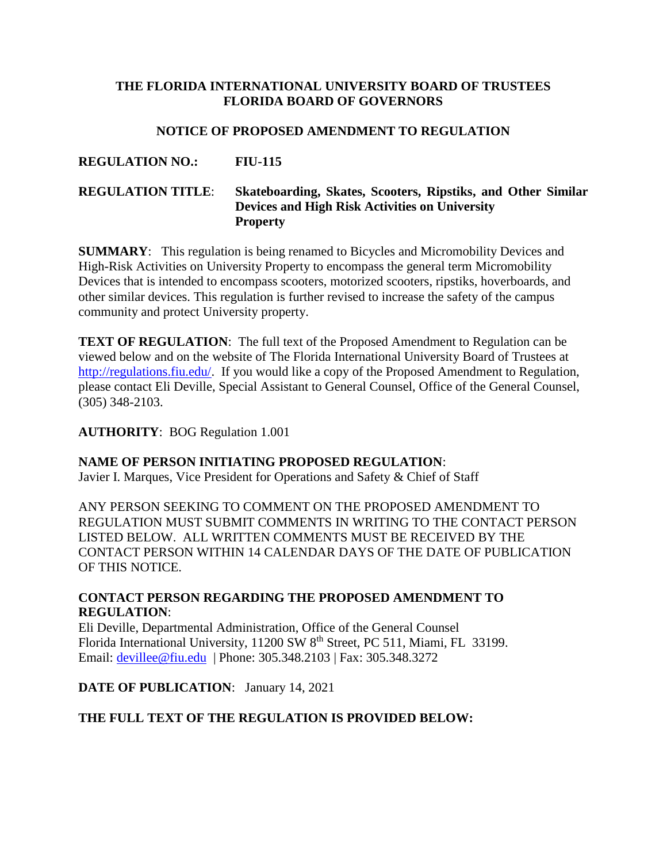## **THE FLORIDA INTERNATIONAL UNIVERSITY BOARD OF TRUSTEES FLORIDA BOARD OF GOVERNORS**

#### **NOTICE OF PROPOSED AMENDMENT TO REGULATION**

## **REGULATION NO.: FIU-115**

## **REGULATION TITLE**: **Skateboarding, Skates, Scooters, Ripstiks, and Other Similar Devices and High Risk Activities on University Property**

**SUMMARY**: This regulation is being renamed to Bicycles and Micromobility Devices and High-Risk Activities on University Property to encompass the general term Micromobility Devices that is intended to encompass scooters, motorized scooters, ripstiks, hoverboards, and other similar devices. This regulation is further revised to increase the safety of the campus community and protect University property.

**TEXT OF REGULATION:** The full text of the Proposed Amendment to Regulation can be viewed below and on the website of The Florida International University Board of Trustees at [http://regulations.fiu.edu/.](http://regulations.fiu.edu/) If you would like a copy of the Proposed Amendment to Regulation, please contact Eli Deville, Special Assistant to General Counsel, Office of the General Counsel, (305) 348-2103.

## **AUTHORITY**: BOG Regulation 1.001

## **NAME OF PERSON INITIATING PROPOSED REGULATION**:

Javier I. Marques, Vice President for Operations and Safety & Chief of Staff

ANY PERSON SEEKING TO COMMENT ON THE PROPOSED AMENDMENT TO REGULATION MUST SUBMIT COMMENTS IN WRITING TO THE CONTACT PERSON LISTED BELOW. ALL WRITTEN COMMENTS MUST BE RECEIVED BY THE CONTACT PERSON WITHIN 14 CALENDAR DAYS OF THE DATE OF PUBLICATION OF THIS NOTICE.

## **CONTACT PERSON REGARDING THE PROPOSED AMENDMENT TO REGULATION**:

Eli Deville, Departmental Administration, Office of the General Counsel Florida International University, 11200 SW 8th Street, PC 511, Miami, FL 33199. Email: [devillee@fiu.edu](mailto:devillee@fiu.edu) | Phone: 305.348.2103 | Fax: 305.348.3272

## **DATE OF PUBLICATION**: January 14, 2021

## **THE FULL TEXT OF THE REGULATION IS PROVIDED BELOW:**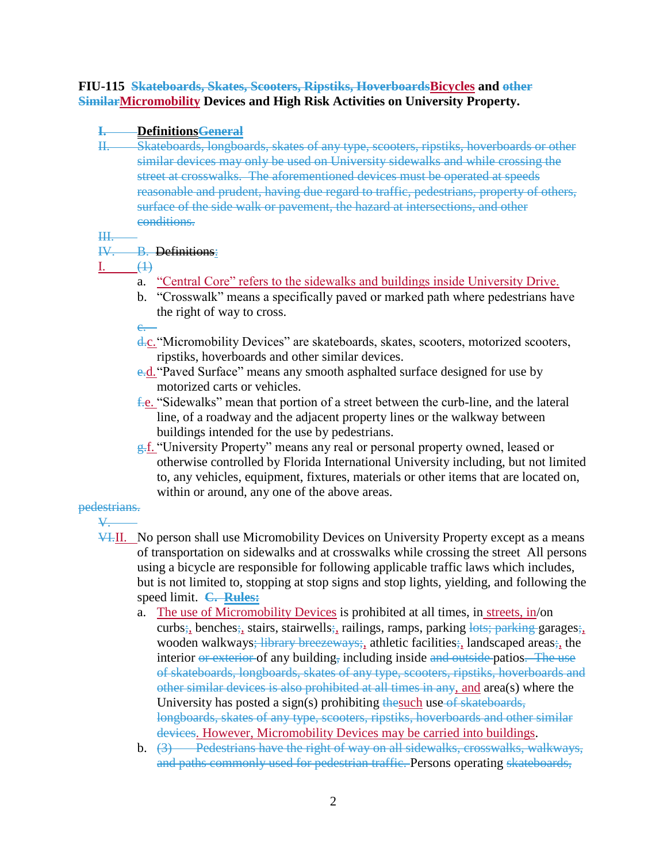## **FIU-115 Skateboards, Skates, Scooters, Ripstiks, HoverboardsBicycles and other SimilarMicromobility Devices and High Risk Activities on University Property.**

## **I. DefinitionsGeneral**

II. Skateboards, longboards, skates of any type, scooters, ripstiks, hoverboards or other similar devices may only be used on University sidewalks and while crossing the street at crosswalks. The aforementioned devices must be operated at speeds reasonable and prudent, having due regard to traffic, pedestrians, property of others, surface of the side walk or pavement, the hazard at intersections, and other conditions.

#### III.

## IV. B. Definitions:

c.

I.  $\qquad \qquad \leftrightarrow$ 

- a. "Central Core" refers to the sidewalks and buildings inside University Drive.
- b. "Crosswalk" means a specifically paved or marked path where pedestrians have the right of way to cross.

d.c."Micromobility Devices" are skateboards, skates, scooters, motorized scooters, ripstiks, hoverboards and other similar devices.

- e.d."Paved Surface" means any smooth asphalted surface designed for use by motorized carts or vehicles.
- f.e. "Sidewalks" mean that portion of a street between the curb-line, and the lateral line, of a roadway and the adjacent property lines or the walkway between buildings intended for the use by pedestrians.
- g.f. "University Property" means any real or personal property owned, leased or otherwise controlled by Florida International University including, but not limited to, any vehicles, equipment, fixtures, materials or other items that are located on, within or around, any one of the above areas.

## pedestrians.

 $\overline{\mathbf{V}}$ 

- VI.II. No person shall use Micromobility Devices on University Property except as a means of transportation on sidewalks and at crosswalks while crossing the street All persons using a bicycle are responsible for following applicable traffic laws which includes, but is not limited to, stopping at stop signs and stop lights, yielding, and following the speed limit. **C. Rules:**
	- a. The use of Micromobility Devices is prohibited at all times, in streets, in/on curbs;, benches;, stairs, stairwells;, railings, ramps, parking lots; parking garages; wooden walkways<del>; library breezeways;</del>, athletic facilities;, landscaped areas;, the interior or exterior of any building, including inside and outside patios. The use of skateboards, longboards, skates of any type, scooters, ripstiks, hoverboards and other similar devices is also prohibited at all times in any, and area(s) where the University has posted a sign(s) prohibiting the such use of skateboards, longboards, skates of any type, scooters, ripstiks, hoverboards and other similar devices. However, Micromobility Devices may be carried into buildings.
	- b.  $(3)$  Pedestrians have the right of way on all sidewalks, crosswalks, walkways, and paths commonly used for pedestrian traffic. Persons operating skateboards,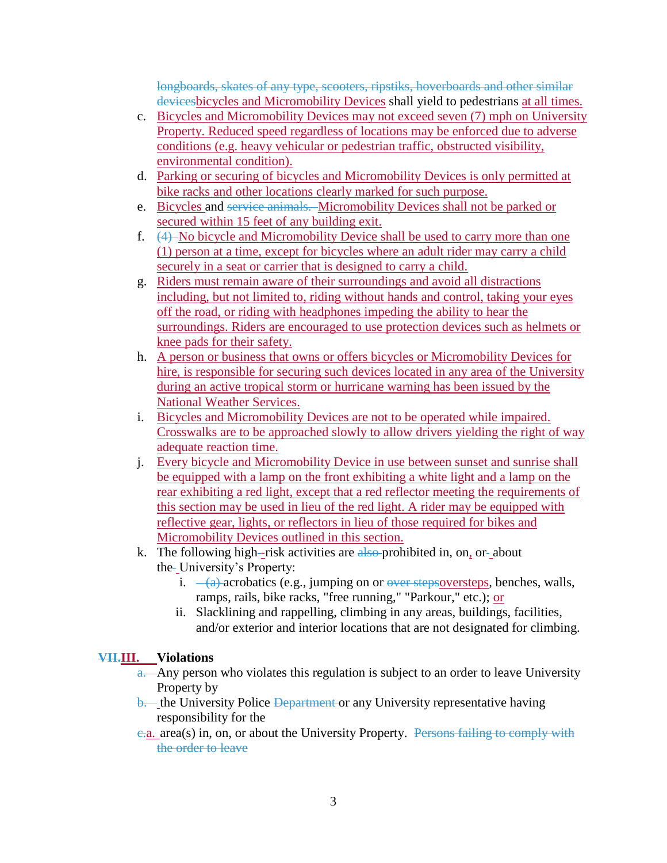longboards, skates of any type, scooters, ripstiks, hoverboards and other similar devices bicycles and Micromobility Devices shall yield to pedestrians at all times.

- c. Bicycles and Micromobility Devices may not exceed seven (7) mph on University Property. Reduced speed regardless of locations may be enforced due to adverse conditions (e.g. heavy vehicular or pedestrian traffic, obstructed visibility, environmental condition).
- d. Parking or securing of bicycles and Micromobility Devices is only permitted at bike racks and other locations clearly marked for such purpose.
- e. Bicycles and service animals. Micromobility Devices shall not be parked or secured within 15 feet of any building exit.
- f. (4) No bicycle and Micromobility Device shall be used to carry more than one (1) person at a time, except for bicycles where an adult rider may carry a child securely in a seat or carrier that is designed to carry a child.
- g. Riders must remain aware of their surroundings and avoid all distractions including, but not limited to, riding without hands and control, taking your eyes off the road, or riding with headphones impeding the ability to hear the surroundings. Riders are encouraged to use protection devices such as helmets or knee pads for their safety.
- h. A person or business that owns or offers bicycles or Micromobility Devices for hire, is responsible for securing such devices located in any area of the University during an active tropical storm or hurricane warning has been issued by the National Weather Services.
- i. Bicycles and Micromobility Devices are not to be operated while impaired. Crosswalks are to be approached slowly to allow drivers yielding the right of way adequate reaction time.
- j. Every bicycle and Micromobility Device in use between sunset and sunrise shall be equipped with a lamp on the front exhibiting a white light and a lamp on the rear exhibiting a red light, except that a red reflector meeting the requirements of this section may be used in lieu of the red light. A rider may be equipped with reflective gear, lights, or reflectors in lieu of those required for bikes and Micromobility Devices outlined in this section.
- k. The following high-risk activities are also-prohibited in, on, or-about the-University's Property:
	- i.  $\leftarrow$  (a) acrobatics (e.g., jumping on or over stepsoversteps, benches, walls, ramps, rails, bike racks, "free running," "Parkour," etc.); or
	- ii. Slacklining and rappelling, climbing in any areas, buildings, facilities, and/or exterior and interior locations that are not designated for climbing.

# **VII.III. Violations**

- a. Any person who violates this regulation is subject to an order to leave University Property by
- b. the University Police Department or any University representative having responsibility for the
- e.a. area(s) in, on, or about the University Property. Persons failing to comply with the order to leave